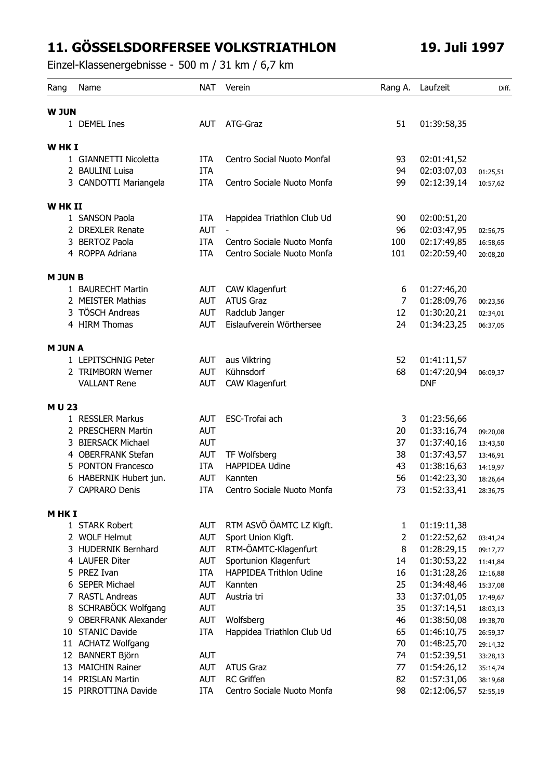## **11. GÖSSELSDORFERSEE VOLKSTRIATHLON 19. Juli 1997**

Einzel-Klassenergebnisse - 500 m / 31 km / 6,7 km

| Rang           | Name                    | <b>NAT</b> | Verein                         |                | Rang A. Laufzeit | Diff.    |
|----------------|-------------------------|------------|--------------------------------|----------------|------------------|----------|
| <b>W JUN</b>   |                         |            |                                |                |                  |          |
|                | 1 DEMEL Ines            | <b>AUT</b> | ATG-Graz                       | 51             | 01:39:58,35      |          |
|                |                         |            |                                |                |                  |          |
| WHK I          |                         |            |                                |                |                  |          |
|                | 1 GIANNETTI Nicoletta   | <b>ITA</b> | Centro Social Nuoto Monfal     | 93             | 02:01:41,52      |          |
|                | 2 BAULINI Luisa         | <b>ITA</b> |                                | 94             | 02:03:07,03      | 01:25,51 |
|                | 3 CANDOTTI Mariangela   | <b>ITA</b> | Centro Sociale Nuoto Monfa     | 99             | 02:12:39,14      | 10:57,62 |
| W HK II        |                         |            |                                |                |                  |          |
|                | 1 SANSON Paola          | <b>ITA</b> | Happidea Triathlon Club Ud     | 90             | 02:00:51,20      |          |
|                | 2 DREXLER Renate        | <b>AUT</b> | $\blacksquare$                 | 96             | 02:03:47,95      | 02:56,75 |
|                | 3 BERTOZ Paola          | <b>ITA</b> | Centro Sociale Nuoto Monfa     | 100            | 02:17:49,85      | 16:58,65 |
|                | 4 ROPPA Adriana         | <b>ITA</b> | Centro Sociale Nuoto Monfa     | 101            | 02:20:59,40      | 20:08,20 |
| <b>M JUN B</b> |                         |            |                                |                |                  |          |
|                | 1 BAURECHT Martin       | AUT        | CAW Klagenfurt                 | 6              | 01:27:46,20      |          |
|                | 2 MEISTER Mathias       | <b>AUT</b> | <b>ATUS Graz</b>               | $\overline{7}$ | 01:28:09,76      | 00:23,56 |
|                | 3 TÖSCH Andreas         | <b>AUT</b> | Radclub Janger                 | 12             | 01:30:20,21      | 02:34,01 |
|                | 4 HIRM Thomas           | <b>AUT</b> | Eislaufverein Wörthersee       | 24             | 01:34:23,25      | 06:37,05 |
| <b>M JUN A</b> |                         |            |                                |                |                  |          |
|                | 1 LEPITSCHNIG Peter     | <b>AUT</b> | aus Viktring                   | 52             | 01:41:11,57      |          |
|                | 2 TRIMBORN Werner       | <b>AUT</b> | Kühnsdorf                      | 68             | 01:47:20,94      | 06:09,37 |
|                | <b>VALLANT Rene</b>     | <b>AUT</b> | CAW Klagenfurt                 |                | <b>DNF</b>       |          |
| M U 23         |                         |            |                                |                |                  |          |
|                | 1 RESSLER Markus        | <b>AUT</b> | ESC-Trofai ach                 | 3              | 01:23:56,66      |          |
|                | 2 PRESCHERN Martin      | <b>AUT</b> |                                | 20             | 01:33:16,74      | 09:20,08 |
|                | 3 BIERSACK Michael      | <b>AUT</b> |                                | 37             | 01:37:40,16      | 13:43,50 |
|                | 4 OBERFRANK Stefan      | <b>AUT</b> | TF Wolfsberg                   | 38             | 01:37:43,57      | 13:46,91 |
| 5              | <b>PONTON Francesco</b> | <b>ITA</b> | <b>HAPPIDEA Udine</b>          | 43             | 01:38:16,63      | 14:19,97 |
|                | 6 HABERNIK Hubert jun.  | <b>AUT</b> | Kannten                        | 56             | 01:42:23,30      | 18:26,64 |
|                | <b>CAPRARO Denis</b>    | ITA        | Centro Sociale Nuoto Monfa     | 73             | 01:52:33,41      | 28:36,75 |
| M HK I         |                         |            |                                |                |                  |          |
|                | 1 STARK Robert          | <b>AUT</b> | RTM ASVÖ ÖAMTC LZ KIgft.       | 1              | 01:19:11,38      |          |
|                | 2 WOLF Helmut           | <b>AUT</b> | Sport Union Klgft.             | $\overline{2}$ | 01:22:52,62      | 03:41,24 |
|                | 3 HUDERNIK Bernhard     | <b>AUT</b> | RTM-ÖAMTC-Klagenfurt           | 8              | 01:28:29,15      | 09:17,77 |
|                | 4 LAUFER Diter          | <b>AUT</b> | Sportunion Klagenfurt          | 14             | 01:30:53,22      | 11:41,84 |
|                | 5 PREZ Ivan             | ITA        | <b>HAPPIDEA Trithlon Udine</b> | 16             | 01:31:28,26      | 12:16,88 |
|                | 6 SEPER Michael         | <b>AUT</b> | Kannten                        | 25             | 01:34:48,46      | 15:37,08 |
|                | 7 RASTL Andreas         | <b>AUT</b> | Austria tri                    | 33             | 01:37:01,05      | 17:49,67 |
|                | 8 SCHRABÖCK Wolfgang    | <b>AUT</b> |                                | 35             | 01:37:14,51      | 18:03,13 |
|                | 9 OBERFRANK Alexander   | AUT        | Wolfsberg                      | 46             | 01:38:50,08      | 19:38,70 |
|                | 10 STANIC Davide        | <b>ITA</b> | Happidea Triathlon Club Ud     | 65             | 01:46:10,75      | 26:59,37 |
|                | 11 ACHATZ Wolfgang      |            |                                | 70             | 01:48:25,70      | 29:14,32 |
|                | 12 BANNERT Björn        | <b>AUT</b> |                                | 74             | 01:52:39,51      | 33:28,13 |
|                | 13 MAICHIN Rainer       | <b>AUT</b> | <b>ATUS Graz</b>               | 77             | 01:54:26,12      | 35:14,74 |
|                | 14 PRISLAN Martin       | <b>AUT</b> | <b>RC</b> Griffen              | 82             | 01:57:31,06      | 38:19,68 |
|                | 15 PIRROTTINA Davide    | <b>ITA</b> | Centro Sociale Nuoto Monfa     | 98             | 02:12:06,57      | 52:55,19 |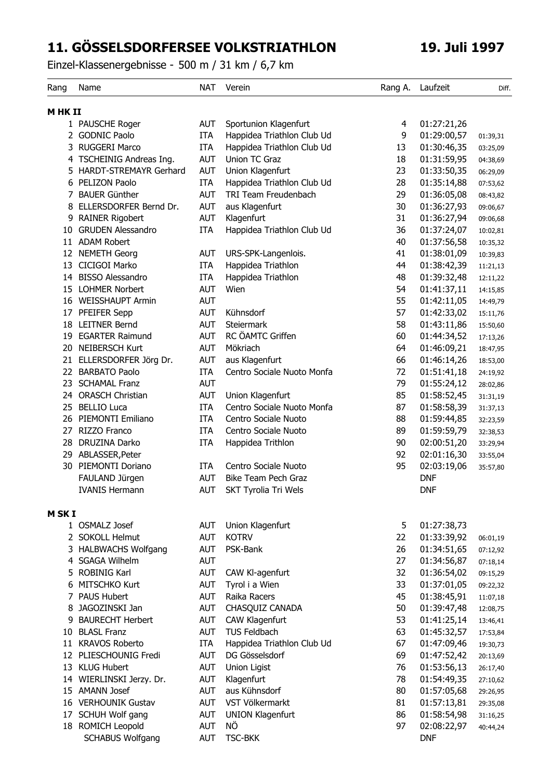## **11. GÖSSELSDORFERSEE VOLKSTRIATHLON 19. Juli 1997**

Einzel-Klassenergebnisse - 500 m / 31 km / 6,7 km

| Rang          | Name                     | <b>NAT</b> | Verein                      | Rang A. | Laufzeit    | Diff.    |
|---------------|--------------------------|------------|-----------------------------|---------|-------------|----------|
| M HK II       |                          |            |                             |         |             |          |
|               | 1 PAUSCHE Roger          | AUT        | Sportunion Klagenfurt       | 4       | 01:27:21,26 |          |
|               | 2 GODNIC Paolo           | <b>ITA</b> | Happidea Triathlon Club Ud  | 9       | 01:29:00,57 | 01:39,31 |
|               | 3 RUGGERI Marco          | <b>ITA</b> | Happidea Triathlon Club Ud  | 13      | 01:30:46,35 | 03:25,09 |
|               | 4 TSCHEINIG Andreas Ing. | AUT        | Union TC Graz               | 18      | 01:31:59,95 | 04:38,69 |
|               | 5 HARDT-STREMAYR Gerhard | <b>AUT</b> | Union Klagenfurt            | 23      | 01:33:50,35 | 06:29,09 |
| 6             | PELIZON Paolo            | <b>ITA</b> | Happidea Triathlon Club Ud  | 28      | 01:35:14,88 | 07:53,62 |
| 7             | <b>BAUER Günther</b>     | AUT        | TRI Team Freudenbach        | 29      | 01:36:05,08 | 08:43,82 |
| 8             | ELLERSDORFER Bernd Dr.   | <b>AUT</b> | aus Klagenfurt              | 30      | 01:36:27,93 | 09:06,67 |
| 9             | <b>RAINER Rigobert</b>   | <b>AUT</b> | Klagenfurt                  | 31      | 01:36:27,94 | 09:06,68 |
| 10            | <b>GRUDEN Alessandro</b> | <b>ITA</b> | Happidea Triathlon Club Ud  | 36      | 01:37:24,07 | 10:02,81 |
| 11            | <b>ADAM Robert</b>       |            |                             | 40      | 01:37:56,58 | 10:35,32 |
| 12            | <b>NEMETH Georg</b>      | <b>AUT</b> | URS-SPK-Langenlois.         | 41      | 01:38:01,09 | 10:39,83 |
|               | 13 CICIGOI Marko         | <b>ITA</b> | Happidea Triathlon          | 44      | 01:38:42,39 | 11:21,13 |
|               | 14 BISSO Alessandro      | <b>ITA</b> | Happidea Triathlon          | 48      | 01:39:32,48 | 12:11,22 |
|               | 15 LOHMER Norbert        | AUT        | Wien                        | 54      | 01:41:37,11 | 14:15,85 |
|               | 16 WEISSHAUPT Armin      | <b>AUT</b> |                             | 55      | 01:42:11,05 | 14:49,79 |
| 17            | PFEIFER Sepp             | <b>AUT</b> | Kühnsdorf                   | 57      | 01:42:33,02 | 15:11,76 |
| 18            | <b>LEITNER Bernd</b>     | AUT        | <b>Steiermark</b>           | 58      | 01:43:11,86 | 15:50,60 |
| 19            | <b>EGARTER Raimund</b>   | <b>AUT</b> | RC ÖAMTC Griffen            | 60      | 01:44:34,52 | 17:13,26 |
| 20            | <b>NEIBERSCH Kurt</b>    | <b>AUT</b> | Mökriach                    | 64      | 01:46:09,21 | 18:47,95 |
|               | 21 ELLERSDORFER Jörg Dr. | <b>AUT</b> | aus Klagenfurt              | 66      | 01:46:14,26 | 18:53,00 |
|               | 22 BARBATO Paolo         | <b>ITA</b> | Centro Sociale Nuoto Monfa  | 72      | 01:51:41,18 | 24:19,92 |
|               | 23 SCHAMAL Franz         | AUT        |                             | 79      | 01:55:24,12 | 28:02,86 |
| 24            | <b>ORASCH Christian</b>  | <b>AUT</b> | Union Klagenfurt            | 85      | 01:58:52,45 | 31:31,19 |
| 25            | <b>BELLIO Luca</b>       | <b>ITA</b> | Centro Sociale Nuoto Monfa  | 87      | 01:58:58,39 | 31:37,13 |
| 26            | PIEMONTI Emiliano        | <b>ITA</b> | Centro Sociale Nuoto        | 88      | 01:59:44,85 | 32:23,59 |
| 27            | RIZZO Franco             | <b>ITA</b> | Centro Sociale Nuoto        | 89      | 01:59:59,79 | 32:38,53 |
| 28            | DRUZINA Darko            | <b>ITA</b> | Happidea Trithlon           | 90      | 02:00:51,20 | 33:29,94 |
| 29            | ABLASSER, Peter          |            |                             | 92      | 02:01:16,30 | 33:55,04 |
|               | 30 PIEMONTI Doriano      | <b>ITA</b> | Centro Sociale Nuoto        | 95      | 02:03:19,06 | 35:57,80 |
|               | FAULAND Jürgen           | AUT        | Bike Team Pech Graz         |         | <b>DNF</b>  |          |
|               | <b>IVANIS Hermann</b>    | <b>AUT</b> | <b>SKT Tyrolia Tri Wels</b> |         | <b>DNF</b>  |          |
| <b>M SK I</b> |                          |            |                             |         |             |          |
|               | 1 OSMALZ Josef           | <b>AUT</b> | Union Klagenfurt            | 5       | 01:27:38,73 |          |
|               | 2 SOKOLL Helmut          | <b>AUT</b> | <b>KOTRV</b>                | 22      | 01:33:39,92 | 06:01,19 |
|               | 3 HALBWACHS Wolfgang     | <b>AUT</b> | PSK-Bank                    | 26      | 01:34:51,65 | 07:12,92 |
|               | 4 SGAGA Wilhelm          | <b>AUT</b> |                             | 27      | 01:34:56,87 | 07:18,14 |
|               | 5 ROBINIG Karl           | <b>AUT</b> | CAW KI-agenfurt             | 32      | 01:36:54,02 | 09:15,29 |
| 6             | MITSCHKO Kurt            | AUT        | Tyrol i a Wien              | 33      | 01:37:01,05 | 09:22,32 |
| 7             | <b>PAUS Hubert</b>       | <b>AUT</b> | Raika Racers                | 45      | 01:38:45,91 | 11:07,18 |
|               | 8 JAGOZINSKI Jan         | <b>AUT</b> | CHASQUIZ CANADA             | 50      | 01:39:47,48 | 12:08,75 |
| 9             | <b>BAURECHT Herbert</b>  | <b>AUT</b> | CAW Klagenfurt              | 53      | 01:41:25,14 | 13:46,41 |
|               | 10 BLASL Franz           | <b>AUT</b> | TUS Feldbach                | 63      | 01:45:32,57 | 17:53,84 |
|               | 11 KRAVOS Roberto        | ITA        | Happidea Triathlon Club Ud  | 67      | 01:47:09,46 | 19:30,73 |
|               | 12 PLIESCHOUNIG Fredi    | <b>AUT</b> | DG Gösselsdorf              | 69      | 01:47:52,42 | 20:13,69 |
| 13            | <b>KLUG Hubert</b>       | <b>AUT</b> | Union Ligist                | 76      | 01:53:56,13 | 26:17,40 |
|               | 14 WIERLINSKI Jerzy. Dr. | <b>AUT</b> | Klagenfurt                  | 78      | 01:54:49,35 | 27:10,62 |
|               | 15 AMANN Josef           | <b>AUT</b> | aus Kühnsdorf               | 80      | 01:57:05,68 | 29:26,95 |
|               | 16 VERHOUNIK Gustav      | <b>AUT</b> | VST Völkermarkt             | 81      | 01:57:13,81 | 29:35,08 |
| 17            | SCHUH Wolf gang          | <b>AUT</b> | <b>UNION Klagenfurt</b>     | 86      | 01:58:54,98 | 31:16,25 |
|               | 18 ROMICH Leopold        | <b>AUT</b> | ΝÖ                          | 97      | 02:08:22,97 | 40:44,24 |
|               | <b>SCHABUS Wolfgang</b>  | <b>AUT</b> | <b>TSC-BKK</b>              |         | <b>DNF</b>  |          |